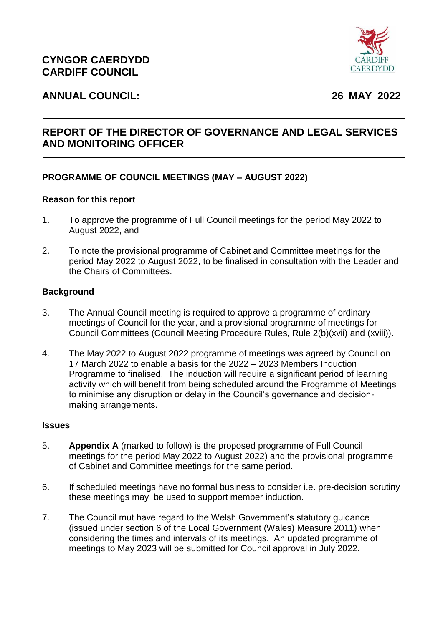

# **ANNUAL COUNCIL: 26 MAY 2022**

# **REPORT OF THE DIRECTOR OF GOVERNANCE AND LEGAL SERVICES AND MONITORING OFFICER**

# **PROGRAMME OF COUNCIL MEETINGS (MAY – AUGUST 2022)**

#### **Reason for this report**

- 1. To approve the programme of Full Council meetings for the period May 2022 to August 2022, and
- 2. To note the provisional programme of Cabinet and Committee meetings for the period May 2022 to August 2022, to be finalised in consultation with the Leader and the Chairs of Committees.

## **Background**

- 3. The Annual Council meeting is required to approve a programme of ordinary meetings of Council for the year, and a provisional programme of meetings for Council Committees (Council Meeting Procedure Rules, Rule 2(b)(xvii) and (xviii)).
- 4. The May 2022 to August 2022 programme of meetings was agreed by Council on 17 March 2022 to enable a basis for the 2022 – 2023 Members Induction Programme to finalised. The induction will require a significant period of learning activity which will benefit from being scheduled around the Programme of Meetings to minimise any disruption or delay in the Council's governance and decisionmaking arrangements.

#### **Issues**

- 5. **Appendix A** (marked to follow) is the proposed programme of Full Council meetings for the period May 2022 to August 2022) and the provisional programme of Cabinet and Committee meetings for the same period.
- 6. If scheduled meetings have no formal business to consider i.e. pre-decision scrutiny these meetings may be used to support member induction.
- 7. The Council mut have regard to the Welsh Government's statutory guidance (issued under section 6 of the Local Government (Wales) Measure 2011) when considering the times and intervals of its meetings. An updated programme of meetings to May 2023 will be submitted for Council approval in July 2022.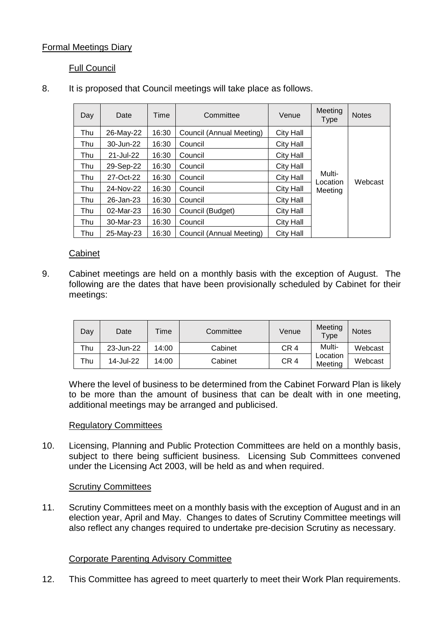# Formal Meetings Diary

# Full Council

| Day | Date      | Time  | Committee                | Venue            | Meeting<br><b>Type</b>        | <b>Notes</b> |
|-----|-----------|-------|--------------------------|------------------|-------------------------------|--------------|
| Thu | 26-May-22 | 16:30 | Council (Annual Meeting) | City Hall        | Multi-<br>Location<br>Meeting | Webcast      |
| Thu | 30-Jun-22 | 16:30 | Council                  | City Hall        |                               |              |
| Thu | 21-Jul-22 | 16:30 | Council                  | City Hall        |                               |              |
| Thu | 29-Sep-22 | 16:30 | Council                  | <b>City Hall</b> |                               |              |
| Thu | 27-Oct-22 | 16:30 | Council                  | City Hall        |                               |              |
| Thu | 24-Nov-22 | 16:30 | Council                  | <b>City Hall</b> |                               |              |
| Thu | 26-Jan-23 | 16:30 | Council                  | <b>City Hall</b> |                               |              |
| Thu | 02-Mar-23 | 16:30 | Council (Budget)         | <b>City Hall</b> |                               |              |
| Thu | 30-Mar-23 | 16:30 | Council                  | <b>City Hall</b> |                               |              |
| Thu | 25-May-23 | 16:30 | Council (Annual Meeting) | <b>City Hall</b> |                               |              |

# 8. It is proposed that Council meetings will take place as follows.

## Cabinet

9. Cabinet meetings are held on a monthly basis with the exception of August. The following are the dates that have been provisionally scheduled by Cabinet for their meetings:

| Day | Date      | Time  | Committee | Venue           | Meeting<br>Type     | <b>Notes</b> |
|-----|-----------|-------|-----------|-----------------|---------------------|--------------|
| Thu | 23-Jun-22 | 14:00 | Cabinet   | CR <sub>4</sub> | Multi-              | Webcast      |
| Thu | 14-Jul-22 | 14:00 | Cabinet   | CR <sub>4</sub> | Location<br>Meetina | Webcast      |

Where the level of business to be determined from the Cabinet Forward Plan is likely to be more than the amount of business that can be dealt with in one meeting, additional meetings may be arranged and publicised.

## Regulatory Committees

10. Licensing, Planning and Public Protection Committees are held on a monthly basis, subject to there being sufficient business. Licensing Sub Committees convened under the Licensing Act 2003, will be held as and when required.

## Scrutiny Committees

11. Scrutiny Committees meet on a monthly basis with the exception of August and in an election year, April and May. Changes to dates of Scrutiny Committee meetings will also reflect any changes required to undertake pre-decision Scrutiny as necessary.

## Corporate Parenting Advisory Committee

12. This Committee has agreed to meet quarterly to meet their Work Plan requirements.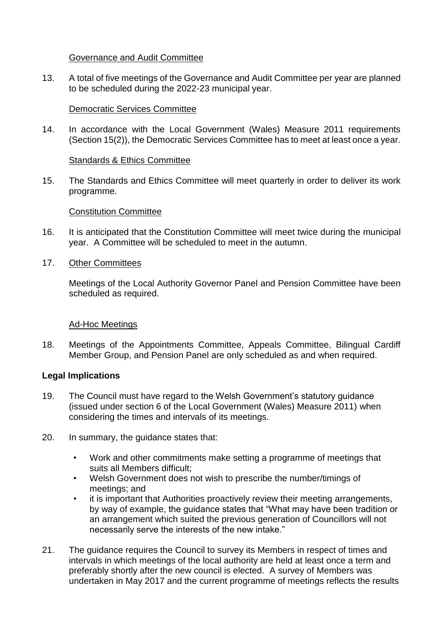#### Governance and Audit Committee

13. A total of five meetings of the Governance and Audit Committee per year are planned to be scheduled during the 2022-23 municipal year.

#### Democratic Services Committee

14. In accordance with the Local Government (Wales) Measure 2011 requirements (Section 15(2)), the Democratic Services Committee has to meet at least once a year.

#### Standards & Ethics Committee

15. The Standards and Ethics Committee will meet quarterly in order to deliver its work programme.

#### Constitution Committee

- 16. It is anticipated that the Constitution Committee will meet twice during the municipal year. A Committee will be scheduled to meet in the autumn.
- 17. Other Committees

Meetings of the Local Authority Governor Panel and Pension Committee have been scheduled as required.

## Ad-Hoc Meetings

18. Meetings of the Appointments Committee, Appeals Committee, Bilingual Cardiff Member Group, and Pension Panel are only scheduled as and when required.

## **Legal Implications**

- 19. The Council must have regard to the Welsh Government's statutory guidance (issued under section 6 of the Local Government (Wales) Measure 2011) when considering the times and intervals of its meetings.
- 20. In summary, the guidance states that:
	- Work and other commitments make setting a programme of meetings that suits all Members difficult;
	- Welsh Government does not wish to prescribe the number/timings of meetings; and
	- it is important that Authorities proactively review their meeting arrangements, by way of example, the guidance states that "What may have been tradition or an arrangement which suited the previous generation of Councillors will not necessarily serve the interests of the new intake."
- 21. The guidance requires the Council to survey its Members in respect of times and intervals in which meetings of the local authority are held at least once a term and preferably shortly after the new council is elected. A survey of Members was undertaken in May 2017 and the current programme of meetings reflects the results